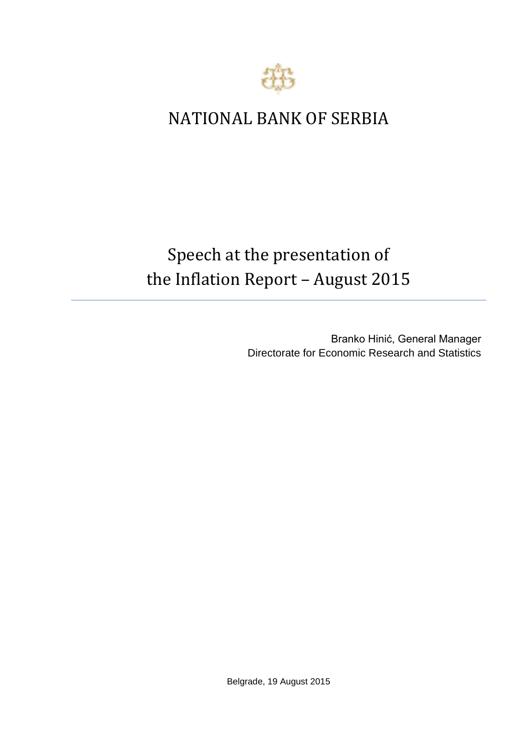

## NATIONAL BANK OF SERBIA

## Speech at the presentation of the Inflation Report – August 2015

Branko Hinić, General Manager Directorate for Economic Research and Statistics

Belgrade, 19 August 2015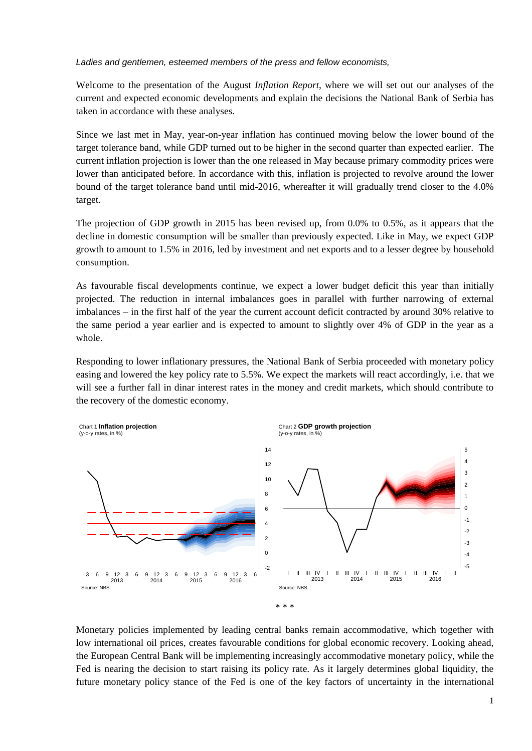*Ladies and gentlemen, esteemed members of the press and fellow economists,* 

Welcome to the presentation of the August *Inflation Report*, where we will set out our analyses of the current and expected economic developments and explain the decisions the National Bank of Serbia has taken in accordance with these analyses.

Since we last met in May, year-on-year inflation has continued moving below the lower bound of the target tolerance band, while GDP turned out to be higher in the second quarter than expected earlier. The current inflation projection is lower than the one released in May because primary commodity prices were lower than anticipated before. In accordance with this, inflation is projected to revolve around the lower bound of the target tolerance band until mid-2016, whereafter it will gradually trend closer to the 4.0% target.

The projection of GDP growth in 2015 has been revised up, from 0.0% to 0.5%, as it appears that the decline in domestic consumption will be smaller than previously expected. Like in May, we expect GDP growth to amount to 1.5% in 2016, led by investment and net exports and to a lesser degree by household consumption.

As favourable fiscal developments continue, we expect a lower budget deficit this year than initially projected. The reduction in internal imbalances goes in parallel with further narrowing of external imbalances – in the first half of the year the current account deficit contracted by around 30% relative to the same period a year earlier and is expected to amount to slightly over 4% of GDP in the year as a whole.

Responding to lower inflationary pressures, the National Bank of Serbia proceeded with monetary policy easing and lowered the key policy rate to 5.5%. We expect the markets will react accordingly, i.e. that we will see a further fall in dinar interest rates in the money and credit markets, which should contribute to the recovery of the domestic economy.



Monetary policies implemented by leading central banks remain accommodative, which together with low international oil prices, creates favourable conditions for global economic recovery. Looking ahead, the European Central Bank will be implementing increasingly accommodative monetary policy, while the Fed is nearing the decision to start raising its policy rate. As it largely determines global liquidity, the future monetary policy stance of the Fed is one of the key factors of uncertainty in the international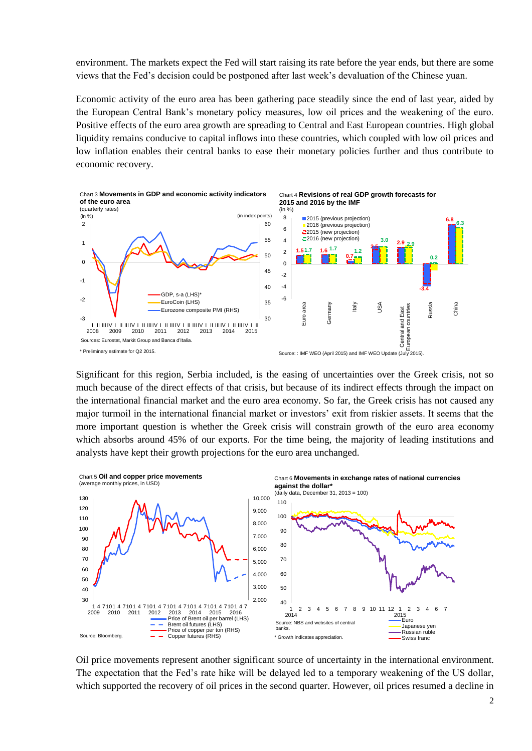environment. The markets expect the Fed will start raising its rate before the year ends, but there are some views that the Fed's decision could be postponed after last week's devaluation of the Chinese yuan.

Economic activity of the euro area has been gathering pace steadily since the end of last year, aided by the European Central Bank's monetary policy measures, low oil prices and the weakening of the euro. Positive effects of the euro area growth are spreading to Central and East European countries. High global liquidity remains conducive to capital inflows into these countries, which coupled with low oil prices and low inflation enables their central banks to ease their monetary policies further and thus contribute to economic recovery.



Significant for this region, Serbia included, is the easing of uncertainties over the Greek crisis, not so much because of the direct effects of that crisis, but because of its indirect effects through the impact on the international financial market and the euro area economy. So far, the Greek crisis has not caused any major turmoil in the international financial market or investors' exit from riskier assets. It seems that the more important question is whether the Greek crisis will constrain growth of the euro area economy which absorbs around 45% of our exports. For the time being, the majority of leading institutions and analysts have kept their growth projections for the euro area unchanged.



Oil price movements represent another significant source of uncertainty in the international environment. The expectation that the Fed's rate hike will be delayed led to a temporary weakening of the US dollar, which supported the recovery of oil prices in the second quarter. However, oil prices resumed a decline in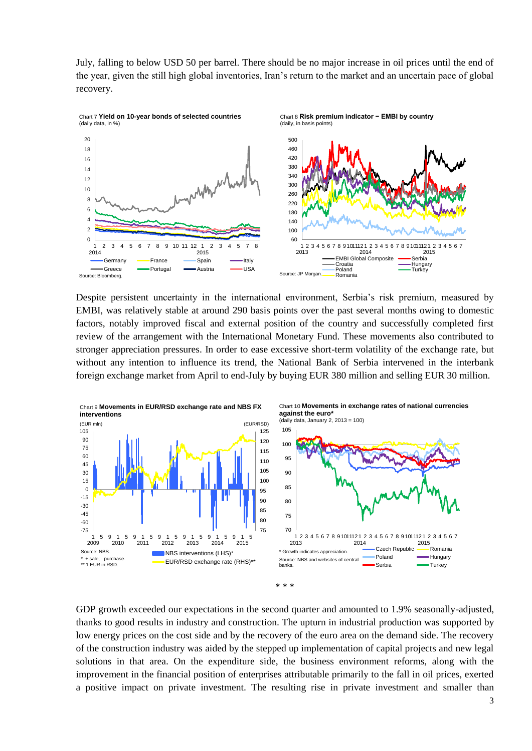July, falling to below USD 50 per barrel. There should be no major increase in oil prices until the end of the year, given the still high global inventories, Iran's return to the market and an uncertain pace of global recovery.



Despite persistent uncertainty in the international environment, Serbia's risk premium, measured by EMBI, was relatively stable at around 290 basis points over the past several months owing to domestic factors, notably improved fiscal and external position of the country and successfully completed first review of the arrangement with the International Monetary Fund. These movements also contributed to stronger appreciation pressures. In order to ease excessive short-term volatility of the exchange rate, but without any intention to influence its trend, the National Bank of Serbia intervened in the interbank foreign exchange market from April to end-July by buying EUR 380 million and selling EUR 30 million.



GDP growth exceeded our expectations in the second quarter and amounted to 1.9% seasonally-adjusted, thanks to good results in industry and construction. The upturn in industrial production was supported by low energy prices on the cost side and by the recovery of the euro area on the demand side. The recovery of the construction industry was aided by the stepped up implementation of capital projects and new legal solutions in that area. On the expenditure side, the business environment reforms, along with the improvement in the financial position of enterprises attributable primarily to the fall in oil prices, exerted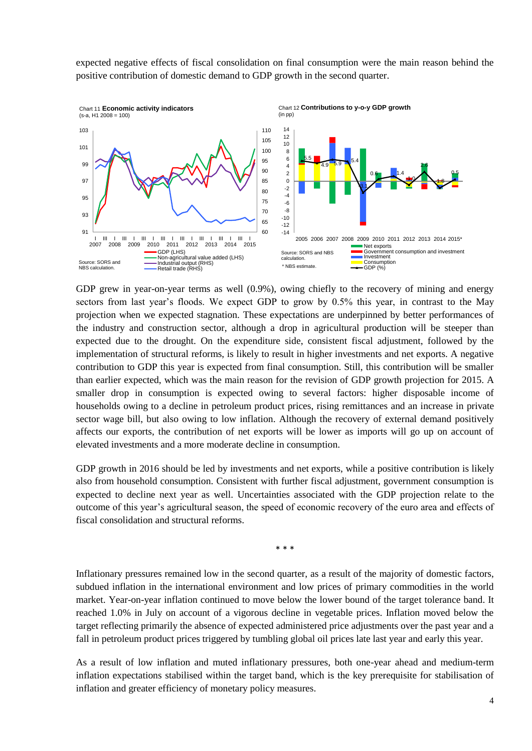expected negative effects of fiscal consolidation on final consumption were the main reason behind the positive contribution of domestic demand to GDP growth in the second quarter.



GDP grew in year-on-year terms as well (0.9%), owing chiefly to the recovery of mining and energy sectors from last year's floods. We expect GDP to grow by 0.5% this year, in contrast to the May projection when we expected stagnation. These expectations are underpinned by better performances of the industry and construction sector, although a drop in agricultural production will be steeper than expected due to the drought. On the expenditure side, consistent fiscal adjustment, followed by the implementation of structural reforms, is likely to result in higher investments and net exports. A negative contribution to GDP this year is expected from final consumption. Still, this contribution will be smaller than earlier expected, which was the main reason for the revision of GDP growth projection for 2015. A smaller drop in consumption is expected owing to several factors: higher disposable income of households owing to a decline in petroleum product prices, rising remittances and an increase in private sector wage bill, but also owing to low inflation. Although the recovery of external demand positively affects our exports, the contribution of net exports will be lower as imports will go up on account of elevated investments and a more moderate decline in consumption.

GDP growth in 2016 should be led by investments and net exports, while a positive contribution is likely also from household consumption. Consistent with further fiscal adjustment, government consumption is expected to decline next year as well. Uncertainties associated with the GDP projection relate to the outcome of this year's agricultural season, the speed of economic recovery of the euro area and effects of fiscal consolidation and structural reforms.

\* \* \*

Inflationary pressures remained low in the second quarter, as a result of the majority of domestic factors, subdued inflation in the international environment and low prices of primary commodities in the world market. Year-on-year inflation continued to move below the lower bound of the target tolerance band. It reached 1.0% in July on account of a vigorous decline in vegetable prices. Inflation moved below the target reflecting primarily the absence of expected administered price adjustments over the past year and a fall in petroleum product prices triggered by tumbling global oil prices late last year and early this year.

As a result of low inflation and muted inflationary pressures, both one-year ahead and medium-term inflation expectations stabilised within the target band, which is the key prerequisite for stabilisation of inflation and greater efficiency of monetary policy measures.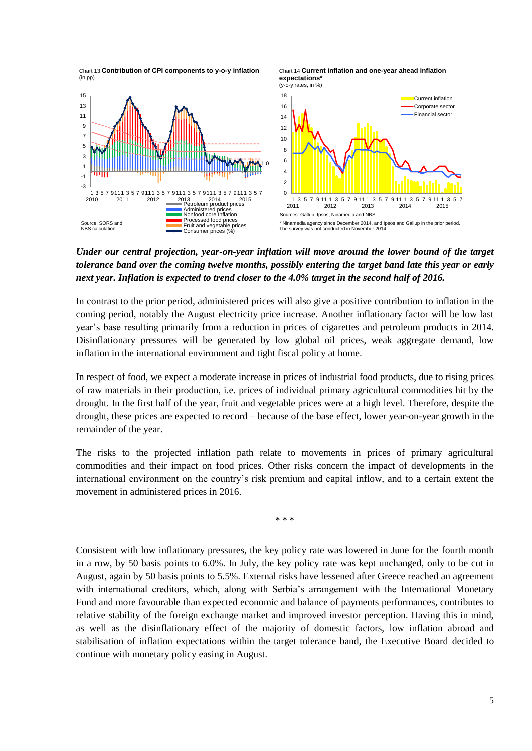Chart 13 **Contribution of CPI components to y-o-y inflation** (in pp)

Chart 14 **Current inflation and one-year ahead inflation expectations\***



*Under our central projection, year-on-year inflation will move around the lower bound of the target tolerance band over the coming twelve months, possibly entering the target band late this year or early next year. Inflation is expected to trend closer to the 4.0% target in the second half of 2016.*

In contrast to the prior period, administered prices will also give a positive contribution to inflation in the coming period, notably the August electricity price increase. Another inflationary factor will be low last year's base resulting primarily from a reduction in prices of cigarettes and petroleum products in 2014. Disinflationary pressures will be generated by low global oil prices, weak aggregate demand, low inflation in the international environment and tight fiscal policy at home.

In respect of food, we expect a moderate increase in prices of industrial food products, due to rising prices of raw materials in their production, i.e. prices of individual primary agricultural commodities hit by the drought. In the first half of the year, fruit and vegetable prices were at a high level. Therefore, despite the drought, these prices are expected to record – because of the base effect, lower year-on-year growth in the remainder of the year.

The risks to the projected inflation path relate to movements in prices of primary agricultural commodities and their impact on food prices. Other risks concern the impact of developments in the international environment on the country's risk premium and capital inflow, and to a certain extent the movement in administered prices in 2016.

\* \* \*

Consistent with low inflationary pressures, the key policy rate was lowered in June for the fourth month in a row, by 50 basis points to 6.0%. In July, the key policy rate was kept unchanged, only to be cut in August, again by 50 basis points to 5.5%. External risks have lessened after Greece reached an agreement with international creditors, which, along with Serbia's arrangement with the International Monetary Fund and more favourable than expected economic and balance of payments performances, contributes to relative stability of the foreign exchange market and improved investor perception. Having this in mind, as well as the disinflationary effect of the majority of domestic factors, low inflation abroad and stabilisation of inflation expectations within the target tolerance band, the Executive Board decided to continue with monetary policy easing in August.